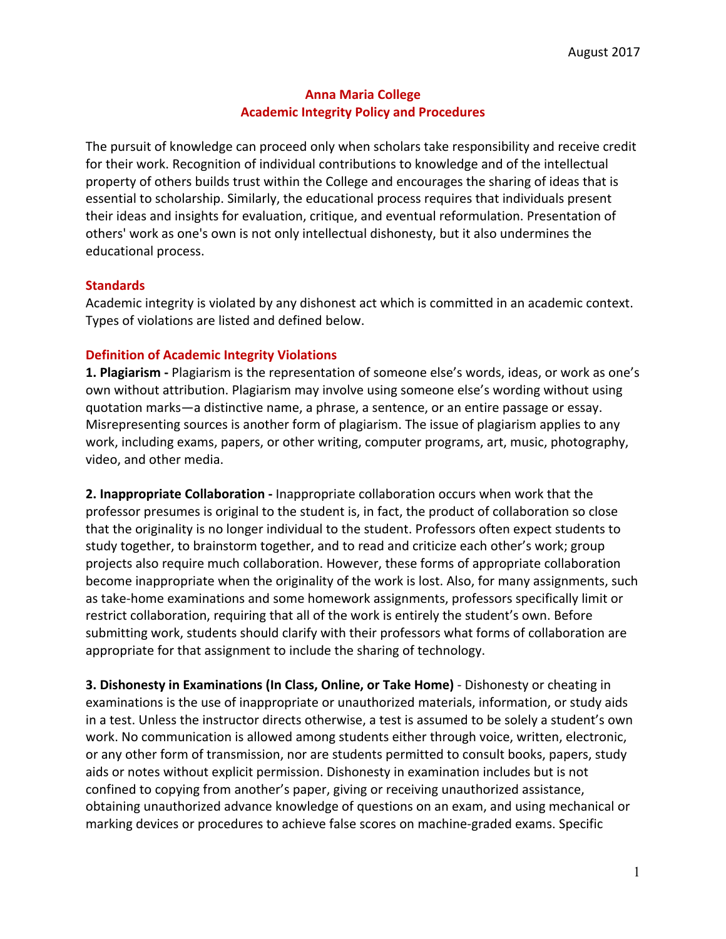### **Anna Maria College Academic Integrity Policy and Procedures**

The pursuit of knowledge can proceed only when scholars take responsibility and receive credit for their work. Recognition of individual contributions to knowledge and of the intellectual property of others builds trust within the College and encourages the sharing of ideas that is essential to scholarship. Similarly, the educational process requires that individuals present their ideas and insights for evaluation, critique, and eventual reformulation. Presentation of others' work as one's own is not only intellectual dishonesty, but it also undermines the educational process.

### **Standards**

Academic integrity is violated by any dishonest act which is committed in an academic context. Types of violations are listed and defined below.

### **Definition of Academic Integrity Violations**

**1. Plagiarism** - Plagiarism is the representation of someone else's words, ideas, or work as one's own without attribution. Plagiarism may involve using someone else's wording without using quotation marks—a distinctive name, a phrase, a sentence, or an entire passage or essay. Misrepresenting sources is another form of plagiarism. The issue of plagiarism applies to any work, including exams, papers, or other writing, computer programs, art, music, photography, video, and other media.

**2.** Inappropriate Collaboration - Inappropriate collaboration occurs when work that the professor presumes is original to the student is, in fact, the product of collaboration so close that the originality is no longer individual to the student. Professors often expect students to study together, to brainstorm together, and to read and criticize each other's work; group projects also require much collaboration. However, these forms of appropriate collaboration become inappropriate when the originality of the work is lost. Also, for many assignments, such as take-home examinations and some homework assignments, professors specifically limit or restrict collaboration, requiring that all of the work is entirely the student's own. Before submitting work, students should clarify with their professors what forms of collaboration are appropriate for that assignment to include the sharing of technology.

**3. Dishonesty in Examinations (In Class, Online, or Take Home)** - Dishonesty or cheating in examinations is the use of inappropriate or unauthorized materials, information, or study aids in a test. Unless the instructor directs otherwise, a test is assumed to be solely a student's own work. No communication is allowed among students either through voice, written, electronic, or any other form of transmission, nor are students permitted to consult books, papers, study aids or notes without explicit permission. Dishonesty in examination includes but is not confined to copying from another's paper, giving or receiving unauthorized assistance, obtaining unauthorized advance knowledge of questions on an exam, and using mechanical or marking devices or procedures to achieve false scores on machine-graded exams. Specific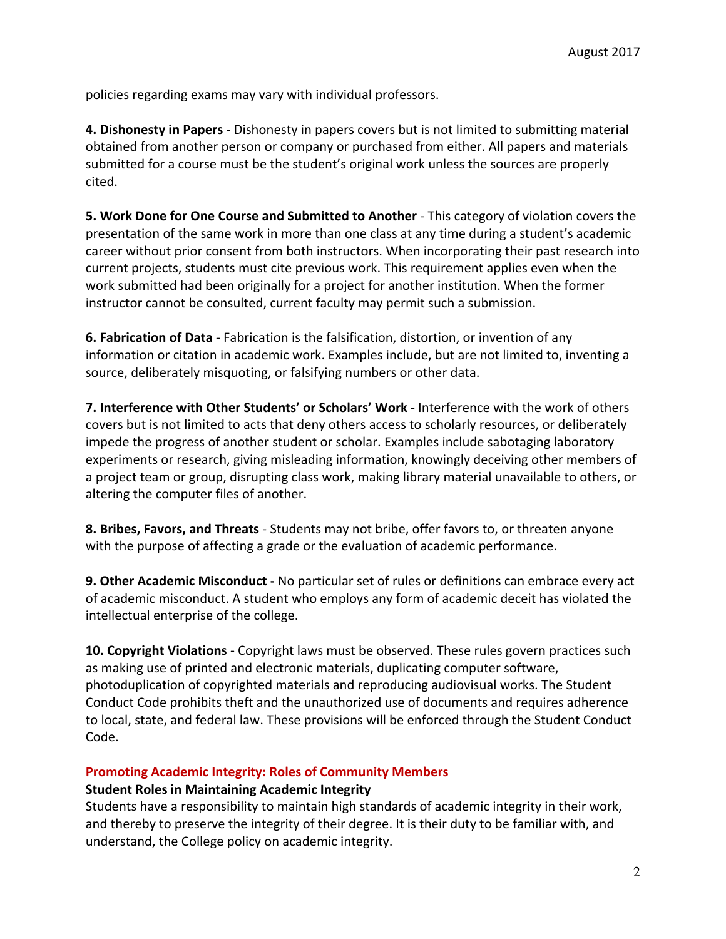policies regarding exams may vary with individual professors.

**4. Dishonesty in Papers** - Dishonesty in papers covers but is not limited to submitting material obtained from another person or company or purchased from either. All papers and materials submitted for a course must be the student's original work unless the sources are properly cited.

**5. Work Done for One Course and Submitted to Another** - This category of violation covers the presentation of the same work in more than one class at any time during a student's academic career without prior consent from both instructors. When incorporating their past research into current projects, students must cite previous work. This requirement applies even when the work submitted had been originally for a project for another institution. When the former instructor cannot be consulted, current faculty may permit such a submission.

**6. Fabrication of Data** - Fabrication is the falsification, distortion, or invention of any information or citation in academic work. Examples include, but are not limited to, inventing a source, deliberately misquoting, or falsifying numbers or other data.

**7.** Interference with Other Students' or Scholars' Work - Interference with the work of others covers but is not limited to acts that deny others access to scholarly resources, or deliberately impede the progress of another student or scholar. Examples include sabotaging laboratory experiments or research, giving misleading information, knowingly deceiving other members of a project team or group, disrupting class work, making library material unavailable to others, or altering the computer files of another.

**8. Bribes, Favors, and Threats** - Students may not bribe, offer favors to, or threaten anyone with the purpose of affecting a grade or the evaluation of academic performance.

**9. Other Academic Misconduct -** No particular set of rules or definitions can embrace every act of academic misconduct. A student who employs any form of academic deceit has violated the intellectual enterprise of the college.

**10. Copyright Violations** - Copyright laws must be observed. These rules govern practices such as making use of printed and electronic materials, duplicating computer software, photoduplication of copyrighted materials and reproducing audiovisual works. The Student Conduct Code prohibits theft and the unauthorized use of documents and requires adherence to local, state, and federal law. These provisions will be enforced through the Student Conduct Code.

# **Promoting Academic Integrity: Roles of Community Members**

#### **Student Roles in Maintaining Academic Integrity**

Students have a responsibility to maintain high standards of academic integrity in their work, and thereby to preserve the integrity of their degree. It is their duty to be familiar with, and understand, the College policy on academic integrity.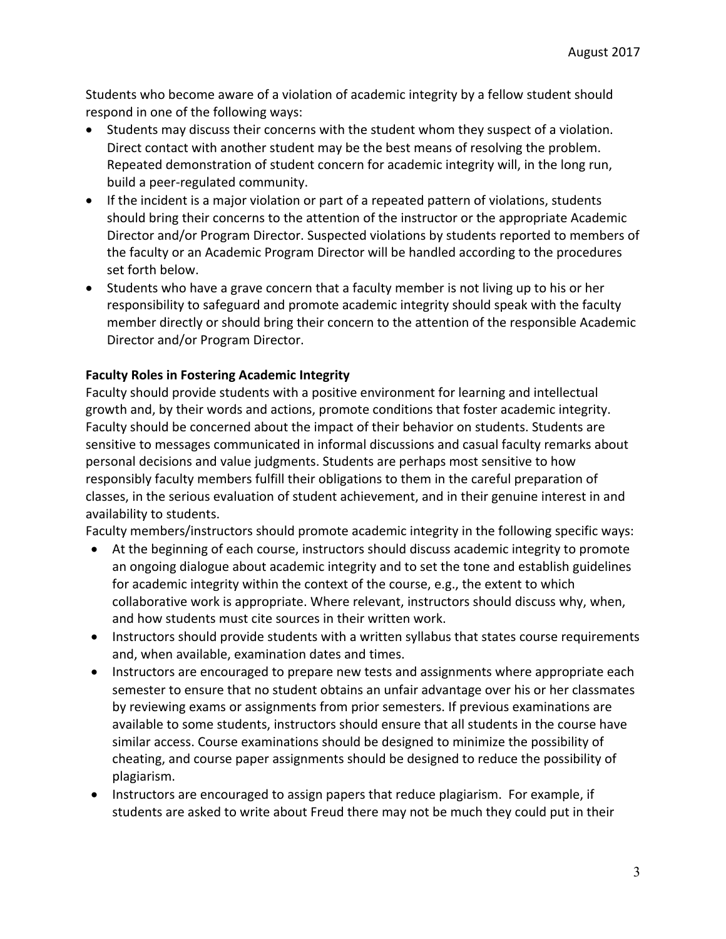Students who become aware of a violation of academic integrity by a fellow student should respond in one of the following ways:

- Students may discuss their concerns with the student whom they suspect of a violation. Direct contact with another student may be the best means of resolving the problem. Repeated demonstration of student concern for academic integrity will, in the long run, build a peer-regulated community.
- If the incident is a major violation or part of a repeated pattern of violations, students should bring their concerns to the attention of the instructor or the appropriate Academic Director and/or Program Director. Suspected violations by students reported to members of the faculty or an Academic Program Director will be handled according to the procedures set forth below.
- Students who have a grave concern that a faculty member is not living up to his or her responsibility to safeguard and promote academic integrity should speak with the faculty member directly or should bring their concern to the attention of the responsible Academic Director and/or Program Director.

### **Faculty Roles in Fostering Academic Integrity**

Faculty should provide students with a positive environment for learning and intellectual growth and, by their words and actions, promote conditions that foster academic integrity. Faculty should be concerned about the impact of their behavior on students. Students are sensitive to messages communicated in informal discussions and casual faculty remarks about personal decisions and value judgments. Students are perhaps most sensitive to how responsibly faculty members fulfill their obligations to them in the careful preparation of classes, in the serious evaluation of student achievement, and in their genuine interest in and availability to students.

Faculty members/instructors should promote academic integrity in the following specific ways:

- At the beginning of each course, instructors should discuss academic integrity to promote an ongoing dialogue about academic integrity and to set the tone and establish guidelines for academic integrity within the context of the course, e.g., the extent to which collaborative work is appropriate. Where relevant, instructors should discuss why, when, and how students must cite sources in their written work.
- Instructors should provide students with a written syllabus that states course requirements and, when available, examination dates and times.
- Instructors are encouraged to prepare new tests and assignments where appropriate each semester to ensure that no student obtains an unfair advantage over his or her classmates by reviewing exams or assignments from prior semesters. If previous examinations are available to some students, instructors should ensure that all students in the course have similar access. Course examinations should be designed to minimize the possibility of cheating, and course paper assignments should be designed to reduce the possibility of plagiarism.
- Instructors are encouraged to assign papers that reduce plagiarism. For example, if students are asked to write about Freud there may not be much they could put in their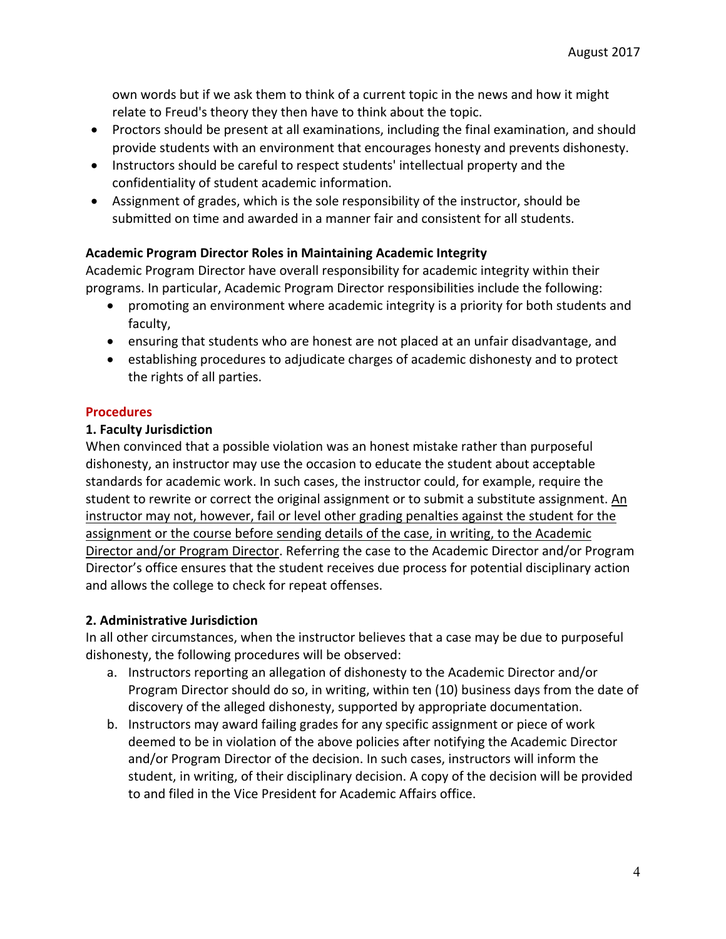own words but if we ask them to think of a current topic in the news and how it might relate to Freud's theory they then have to think about the topic.

- Proctors should be present at all examinations, including the final examination, and should provide students with an environment that encourages honesty and prevents dishonesty.
- Instructors should be careful to respect students' intellectual property and the confidentiality of student academic information.
- Assignment of grades, which is the sole responsibility of the instructor, should be submitted on time and awarded in a manner fair and consistent for all students.

# **Academic Program Director Roles in Maintaining Academic Integrity**

Academic Program Director have overall responsibility for academic integrity within their programs. In particular, Academic Program Director responsibilities include the following:

- promoting an environment where academic integrity is a priority for both students and faculty,
- ensuring that students who are honest are not placed at an unfair disadvantage, and
- establishing procedures to adjudicate charges of academic dishonesty and to protect the rights of all parties.

# **Procedures**

# **1. Faculty Jurisdiction**

When convinced that a possible violation was an honest mistake rather than purposeful dishonesty, an instructor may use the occasion to educate the student about acceptable standards for academic work. In such cases, the instructor could, for example, require the student to rewrite or correct the original assignment or to submit a substitute assignment. An instructor may not, however, fail or level other grading penalties against the student for the assignment or the course before sending details of the case, in writing, to the Academic Director and/or Program Director. Referring the case to the Academic Director and/or Program Director's office ensures that the student receives due process for potential disciplinary action and allows the college to check for repeat offenses.

# **2. Administrative Jurisdiction**

In all other circumstances, when the instructor believes that a case may be due to purposeful dishonesty, the following procedures will be observed:

- a. Instructors reporting an allegation of dishonesty to the Academic Director and/or Program Director should do so, in writing, within ten (10) business days from the date of discovery of the alleged dishonesty, supported by appropriate documentation.
- b. Instructors may award failing grades for any specific assignment or piece of work deemed to be in violation of the above policies after notifying the Academic Director and/or Program Director of the decision. In such cases, instructors will inform the student, in writing, of their disciplinary decision. A copy of the decision will be provided to and filed in the Vice President for Academic Affairs office.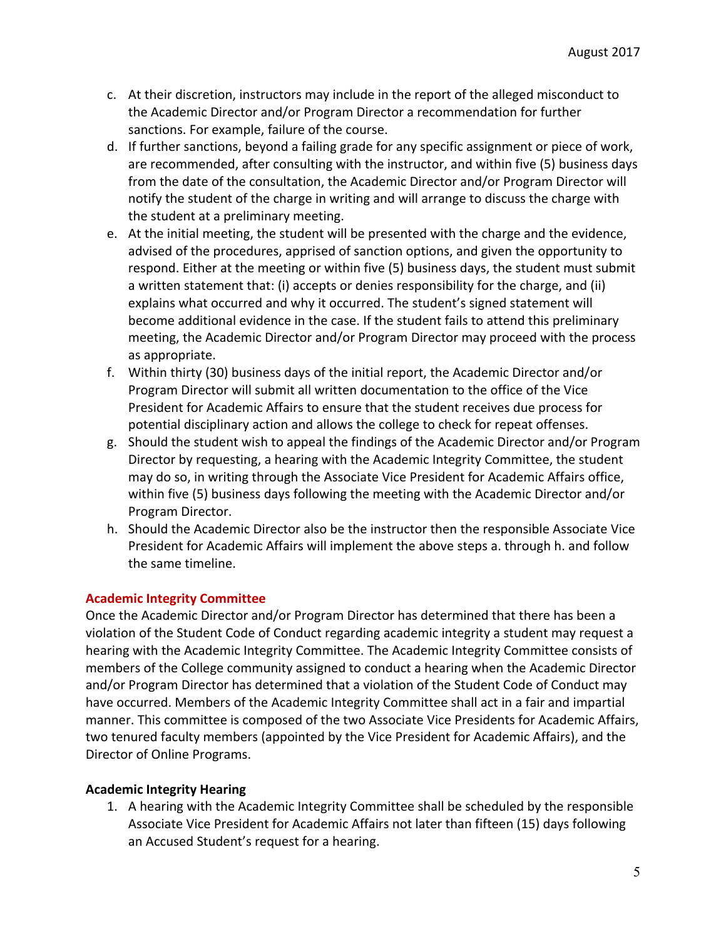- c. At their discretion, instructors may include in the report of the alleged misconduct to the Academic Director and/or Program Director a recommendation for further sanctions. For example, failure of the course.
- d. If further sanctions, beyond a failing grade for any specific assignment or piece of work, are recommended, after consulting with the instructor, and within five (5) business days from the date of the consultation, the Academic Director and/or Program Director will notify the student of the charge in writing and will arrange to discuss the charge with the student at a preliminary meeting.
- e. At the initial meeting, the student will be presented with the charge and the evidence, advised of the procedures, apprised of sanction options, and given the opportunity to respond. Either at the meeting or within five (5) business days, the student must submit a written statement that: (i) accepts or denies responsibility for the charge, and (ii) explains what occurred and why it occurred. The student's signed statement will become additional evidence in the case. If the student fails to attend this preliminary meeting, the Academic Director and/or Program Director may proceed with the process as appropriate.
- f. Within thirty (30) business days of the initial report, the Academic Director and/or Program Director will submit all written documentation to the office of the Vice President for Academic Affairs to ensure that the student receives due process for potential disciplinary action and allows the college to check for repeat offenses.
- g. Should the student wish to appeal the findings of the Academic Director and/or Program Director by requesting, a hearing with the Academic Integrity Committee, the student may do so, in writing through the Associate Vice President for Academic Affairs office, within five (5) business days following the meeting with the Academic Director and/or Program Director.
- h. Should the Academic Director also be the instructor then the responsible Associate Vice President for Academic Affairs will implement the above steps a. through h. and follow the same timeline.

# **Academic Integrity Committee**

Once the Academic Director and/or Program Director has determined that there has been a violation of the Student Code of Conduct regarding academic integrity a student may request a hearing with the Academic Integrity Committee. The Academic Integrity Committee consists of members of the College community assigned to conduct a hearing when the Academic Director and/or Program Director has determined that a violation of the Student Code of Conduct may have occurred. Members of the Academic Integrity Committee shall act in a fair and impartial manner. This committee is composed of the two Associate Vice Presidents for Academic Affairs, two tenured faculty members (appointed by the Vice President for Academic Affairs), and the Director of Online Programs.

# **Academic Integrity Hearing**

1. A hearing with the Academic Integrity Committee shall be scheduled by the responsible Associate Vice President for Academic Affairs not later than fifteen (15) days following an Accused Student's request for a hearing.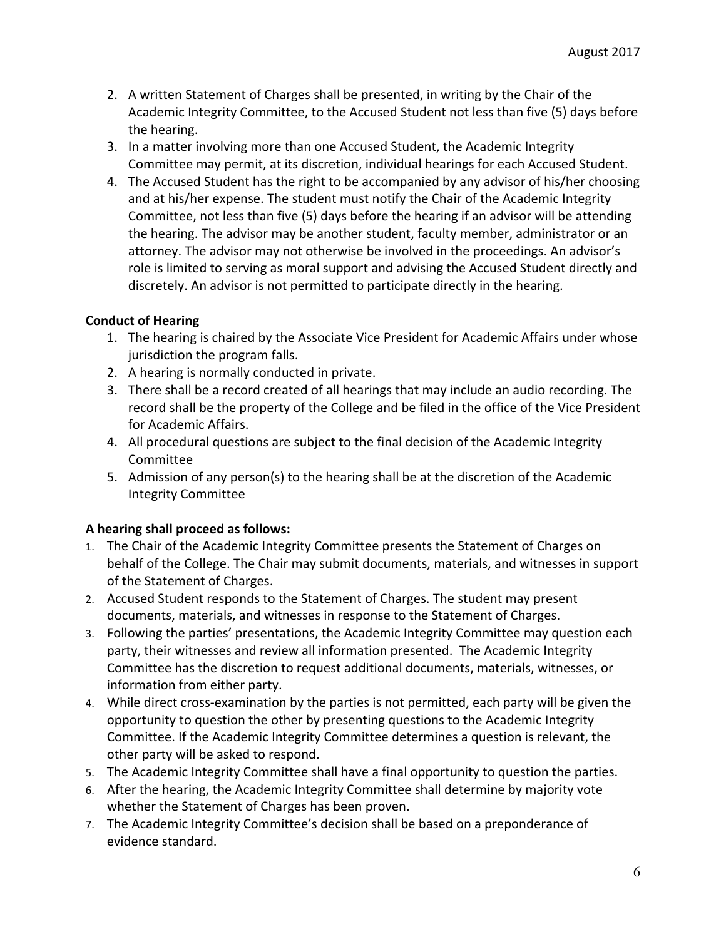- 2. A written Statement of Charges shall be presented, in writing by the Chair of the Academic Integrity Committee, to the Accused Student not less than five (5) days before the hearing.
- 3. In a matter involving more than one Accused Student, the Academic Integrity Committee may permit, at its discretion, individual hearings for each Accused Student.
- 4. The Accused Student has the right to be accompanied by any advisor of his/her choosing and at his/her expense. The student must notify the Chair of the Academic Integrity Committee, not less than five (5) days before the hearing if an advisor will be attending the hearing. The advisor may be another student, faculty member, administrator or an attorney. The advisor may not otherwise be involved in the proceedings. An advisor's role is limited to serving as moral support and advising the Accused Student directly and discretely. An advisor is not permitted to participate directly in the hearing.

# **Conduct of Hearing**

- 1. The hearing is chaired by the Associate Vice President for Academic Affairs under whose jurisdiction the program falls.
- 2. A hearing is normally conducted in private.
- 3. There shall be a record created of all hearings that may include an audio recording. The record shall be the property of the College and be filed in the office of the Vice President for Academic Affairs.
- 4. All procedural questions are subject to the final decision of the Academic Integrity Committee
- 5. Admission of any person(s) to the hearing shall be at the discretion of the Academic Integrity Committee

# **A hearing shall proceed as follows:**

- 1. The Chair of the Academic Integrity Committee presents the Statement of Charges on behalf of the College. The Chair may submit documents, materials, and witnesses in support of the Statement of Charges.
- 2. Accused Student responds to the Statement of Charges. The student may present documents, materials, and witnesses in response to the Statement of Charges.
- 3. Following the parties' presentations, the Academic Integrity Committee may question each party, their witnesses and review all information presented. The Academic Integrity Committee has the discretion to request additional documents, materials, witnesses, or information from either party.
- 4. While direct cross-examination by the parties is not permitted, each party will be given the opportunity to question the other by presenting questions to the Academic Integrity Committee. If the Academic Integrity Committee determines a question is relevant, the other party will be asked to respond.
- 5. The Academic Integrity Committee shall have a final opportunity to question the parties.
- 6. After the hearing, the Academic Integrity Committee shall determine by majority vote whether the Statement of Charges has been proven.
- 7. The Academic Integrity Committee's decision shall be based on a preponderance of evidence standard.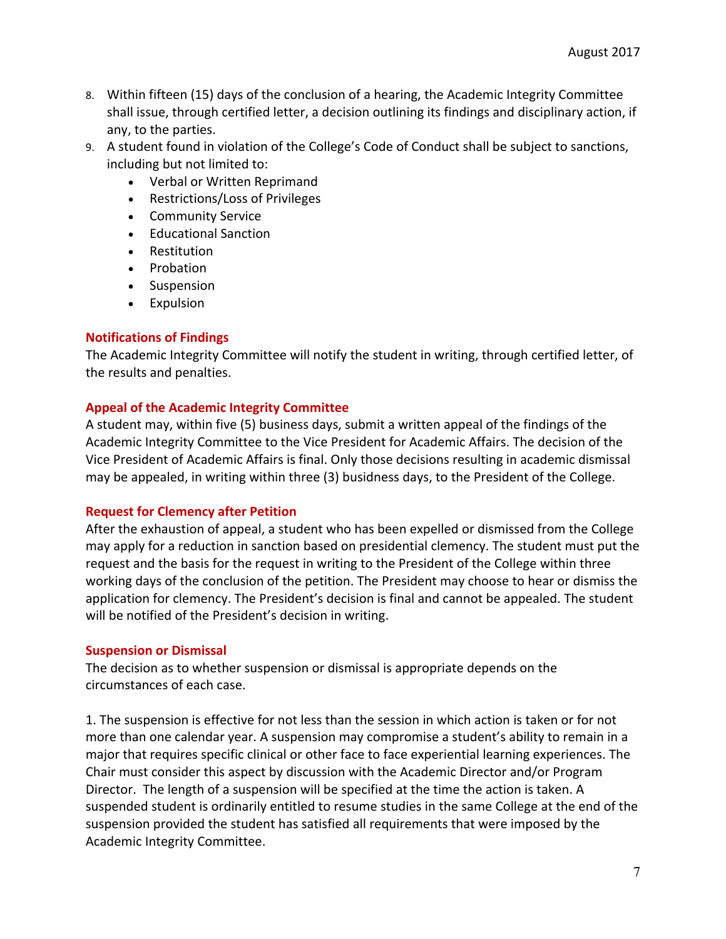- 8. Within fifteen (15) days of the conclusion of a hearing, the Academic Integrity Committee shall issue, through certified letter, a decision outlining its findings and disciplinary action, if any, to the parties.
- 9. A student found in violation of the College's Code of Conduct shall be subject to sanctions, including but not limited to:
	- Verbal or Written Reprimand
	- Restrictions/Loss of Privileges
	- Community Service
	- Educational Sanction
	- Restitution
	- Probation
	- Suspension
	- Expulsion

#### **Notifications of Findings**

The Academic Integrity Committee will notify the student in writing, through certified letter, of the results and penalties.

#### **Appeal of the Academic Integrity Committee**

A student may, within five (5) business days, submit a written appeal of the findings of the Academic Integrity Committee to the Vice President for Academic Affairs. The decision of the Vice President of Academic Affairs is final. Only those decisions resulting in academic dismissal may be appealed, in writing within three (3) busidness days, to the President of the College.

#### **Request for Clemency after Petition**

After the exhaustion of appeal, a student who has been expelled or dismissed from the College may apply for a reduction in sanction based on presidential clemency. The student must put the request and the basis for the request in writing to the President of the College within three working days of the conclusion of the petition. The President may choose to hear or dismiss the application for clemency. The President's decision is final and cannot be appealed. The student will be notified of the President's decision in writing.

#### **Suspension or Dismissal**

The decision as to whether suspension or dismissal is appropriate depends on the circumstances of each case.

1. The suspension is effective for not less than the session in which action is taken or for not more than one calendar year. A suspension may compromise a student's ability to remain in a major that requires specific clinical or other face to face experiential learning experiences. The Chair must consider this aspect by discussion with the Academic Director and/or Program Director. The length of a suspension will be specified at the time the action is taken. A suspended student is ordinarily entitled to resume studies in the same College at the end of the suspension provided the student has satisfied all requirements that were imposed by the Academic Integrity Committee.